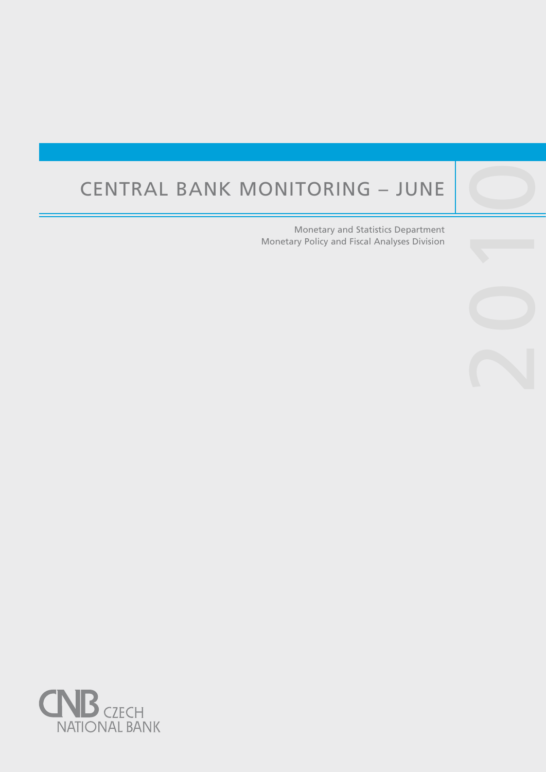# Central Bank Monitoring – June

Central banks are not universities and one would

purpose, such as, to lay the ground for the satisfac-

Monetary and Statistics Department Monetary Policy and Fiscal Analyses Division 2010

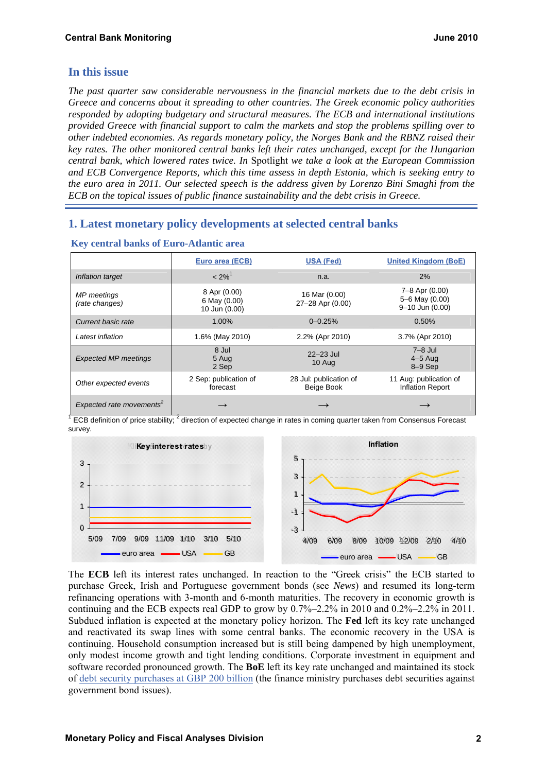## **In this issue**

*The past quarter saw considerable nervousness in the financial markets due to the debt crisis in Greece and concerns about it spreading to other countries. The Greek economic policy authorities responded by adopting budgetary and structural measures. The ECB and international institutions provided Greece with financial support to calm the markets and stop the problems spilling over to other indebted economies. As regards monetary policy, the Norges Bank and the RBNZ raised their key rates. The other monitored central banks left their rates unchanged, except for the Hungarian central bank, which lowered rates twice. In* Spotlight *we take a look at the European Commission and ECB Convergence Reports, which this time assess in depth Estonia, which is seeking entry to the euro area in 2011. Our selected speech is the address given by Lorenzo Bini Smaghi from the ECB on the topical issues of public finance sustainability and the debt crisis in Greece.* 

# **1. Latest monetary policy developments at selected central banks**

|                                      | Euro area (ECB)                               | <b>USA (Fed)</b>                     | <b>United Kingdom (BoE)</b>                         |  |  |  |
|--------------------------------------|-----------------------------------------------|--------------------------------------|-----------------------------------------------------|--|--|--|
| Inflation target                     | $< 2\%$ <sup>1</sup>                          | n.a.                                 | 2%                                                  |  |  |  |
| <b>MP</b> meetings<br>(rate changes) | 8 Apr (0.00)<br>6 May (0.00)<br>10 Jun (0.00) | 16 Mar (0.00)<br>27-28 Apr (0.00)    | 7–8 Apr (0.00)<br>5-6 May (0.00)<br>9-10 Jun (0.00) |  |  |  |
| Current basic rate                   | 1.00%                                         | $0 - 0.25%$                          | 0.50%                                               |  |  |  |
| Latest inflation                     | 1.6% (May 2010)                               | 2.2% (Apr 2010)                      | 3.7% (Apr 2010)                                     |  |  |  |
| <b>Expected MP meetings</b>          | 8 Jul<br>5 Aug<br>2 Sep                       | $22 - 23$ Jul<br>10 Aug              | $7-8$ Jul<br>$4-5$ Aug<br>$8-9$ Sep                 |  |  |  |
| Other expected events                | 2 Sep: publication of<br>forecast             | 28 Jul: publication of<br>Beige Book | 11 Aug: publication of<br>Inflation Report          |  |  |  |
| Expected rate movements <sup>2</sup> | $\longrightarrow$                             |                                      |                                                     |  |  |  |

#### **Key central banks of Euro-Atlantic area**

<sup>1</sup> ECB definition of price stability; <sup>2</sup> direction of expected change in rates in coming quarter taken from Consensus Forecast survey.



The **ECB** left its interest rates unchanged. In reaction to the "Greek crisis" the ECB started to purchase Greek, Irish and Portuguese government bonds (see *News*) and resumed its long-term refinancing operations with 3-month and 6-month maturities. The recovery in economic growth is continuing and the ECB expects real GDP to grow by  $0.7\%-2.2\%$  in 2010 and  $0.2\%-2.2\%$  in 2011. Subdued inflation is expected at the monetary policy horizon. The **Fed** left its key rate unchanged and reactivated its swap lines with some central banks. The economic recovery in the USA is continuing. Household consumption increased but is still being dampened by high unemployment, only modest income growth and tight lending conditions. Corporate investment in equipment and software recorded pronounced growth. The **BoE** left its key rate unchanged and maintained its stock of [debt security purchases at GBP 200 billion](http://www.bankofengland.co.uk/publications/other/markets/apf/apfquarterlyreport1004.pdf) (the finance ministry purchases debt securities against government bond issues).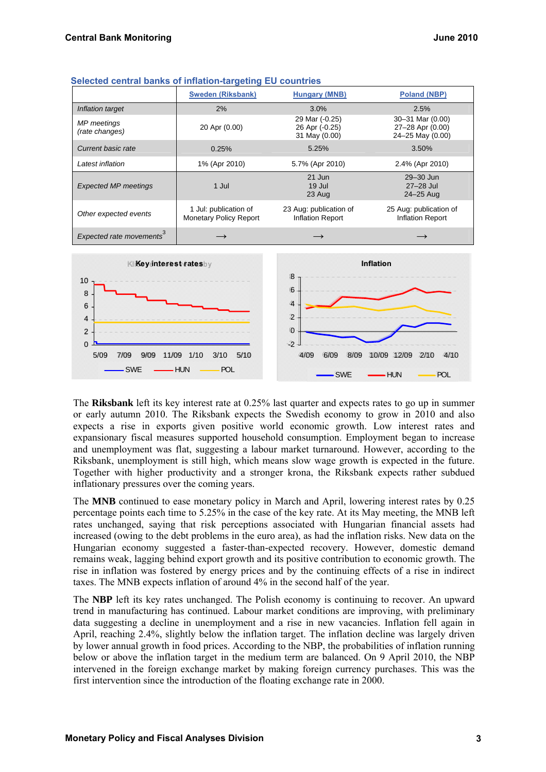|                                      | <b>Sweden (Riksbank)</b>                               | <b>Poland (NBP)</b>                               |                                                          |  |  |
|--------------------------------------|--------------------------------------------------------|---------------------------------------------------|----------------------------------------------------------|--|--|
| Inflation target                     | 2%                                                     | 3.0%                                              | 2.5%                                                     |  |  |
| MP meetings<br>(rate changes)        | 20 Apr (0.00)                                          | 29 Mar (-0.25)<br>26 Apr (-0.25)<br>31 May (0.00) | 30-31 Mar (0.00)<br>27-28 Apr (0.00)<br>24-25 May (0.00) |  |  |
| Current basic rate                   | 0.25%                                                  | 5.25%                                             | 3.50%                                                    |  |  |
| Latest inflation                     | 1% (Apr 2010)                                          | 5.7% (Apr 2010)                                   | 2.4% (Apr 2010)                                          |  |  |
| <b>Expected MP meetings</b>          | 1 Jul                                                  | 21 Jun<br>19 Jul<br>23 Aug                        | $29 - 30$ Jun<br>$27-28$ Jul<br>24-25 Aug                |  |  |
| Other expected events                | 1 Jul: publication of<br><b>Monetary Policy Report</b> | 23 Aug: publication of<br><b>Inflation Report</b> | 25 Aug: publication of<br><b>Inflation Report</b>        |  |  |
| Expected rate movements <sup>3</sup> |                                                        |                                                   |                                                          |  |  |



The **Riksbank** left its key interest rate at 0.25% last quarter and expects rates to go up in summer or early autumn 2010. The Riksbank expects the Swedish economy to grow in 2010 and also expects a rise in exports given positive world economic growth. Low interest rates and expansionary fiscal measures supported household consumption. Employment began to increase and unemployment was flat, suggesting a labour market turnaround. However, according to the Riksbank, unemployment is still high, which means slow wage growth is expected in the future. Together with higher productivity and a stronger krona, the Riksbank expects rather subdued inflationary pressures over the coming years.

The **MNB** continued to ease monetary policy in March and April, lowering interest rates by 0.25 percentage points each time to 5.25% in the case of the key rate. At its May meeting, the MNB left rates unchanged, saying that risk perceptions associated with Hungarian financial assets had increased (owing to the debt problems in the euro area), as had the inflation risks. New data on the Hungarian economy suggested a faster-than-expected recovery. However, domestic demand remains weak, lagging behind export growth and its positive contribution to economic growth. The rise in inflation was fostered by energy prices and by the continuing effects of a rise in indirect taxes. The MNB expects inflation of around 4% in the second half of the year.

The **NBP** left its key rates unchanged. The Polish economy is continuing to recover. An upward trend in manufacturing has continued. Labour market conditions are improving, with preliminary data suggesting a decline in unemployment and a rise in new vacancies. Inflation fell again in April, reaching 2.4%, slightly below the inflation target. The inflation decline was largely driven by lower annual growth in food prices. According to the NBP, the probabilities of inflation running below or above the inflation target in the medium term are balanced. On 9 April 2010, the NBP intervened in the foreign exchange market by making foreign currency purchases. This was the first intervention since the introduction of the floating exchange rate in 2000.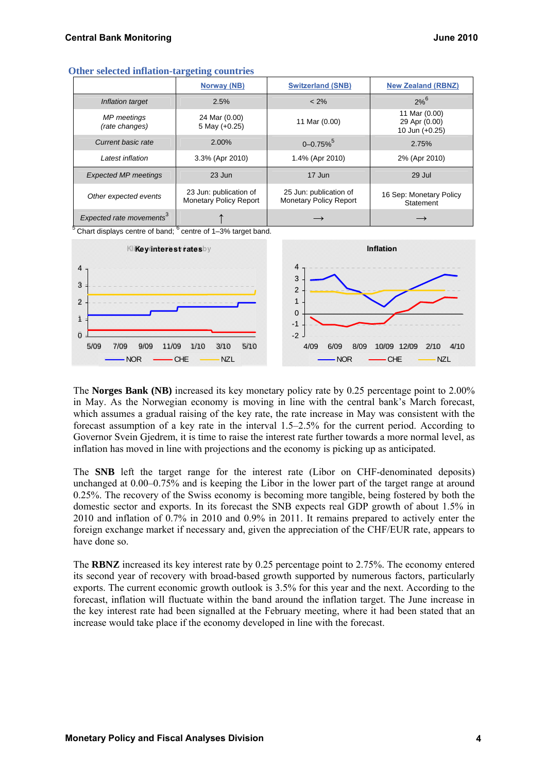| $-$ model to the second $-$          |                                                         |                           |                                                  |  |  |  |  |  |  |  |
|--------------------------------------|---------------------------------------------------------|---------------------------|--------------------------------------------------|--|--|--|--|--|--|--|
|                                      | Norway (NB)                                             | <b>Switzerland (SNB)</b>  | <b>New Zealand (RBNZ)</b>                        |  |  |  |  |  |  |  |
| Inflation target                     | 2.5%                                                    | $< 2\%$                   | $2%^{6}$                                         |  |  |  |  |  |  |  |
| MP meetings<br>(rate changes)        | 24 Mar (0.00)<br>5 May $(+0.25)$                        | 11 Mar (0.00)             | 11 Mar (0.00)<br>29 Apr (0.00)<br>10 Jun (+0.25) |  |  |  |  |  |  |  |
| Current basic rate                   | 2.00%                                                   | $0 - 0.75\%$ <sup>5</sup> | 2.75%                                            |  |  |  |  |  |  |  |
| Latest inflation                     | 3.3% (Apr 2010)                                         | 1.4% (Apr 2010)           | 2% (Apr 2010)                                    |  |  |  |  |  |  |  |
| <b>Expected MP meetings</b>          | $23$ Jun                                                | 17 Jun                    | 29 Jul                                           |  |  |  |  |  |  |  |
| Other expected events                | 23 Jun: publication of<br><b>Monetary Policy Report</b> |                           | 16 Sep: Monetary Policy<br>Statement             |  |  |  |  |  |  |  |
| Expected rate movements <sup>3</sup> |                                                         | $\longrightarrow$         |                                                  |  |  |  |  |  |  |  |

#### **Other selected inflation-targeting countries**

 $5$  Chart displays centre of band;  $6$  centre of 1–3% target band.



The **Norges Bank (NB)** increased its key monetary policy rate by 0.25 percentage point to 2.00% in May. As the Norwegian economy is moving in line with the central bank's March forecast, which assumes a gradual raising of the key rate, the rate increase in May was consistent with the forecast assumption of a key rate in the interval 1.5–2.5% for the current period. According to Governor Svein Gjedrem, it is time to raise the interest rate further towards a more normal level, as inflation has moved in line with projections and the economy is picking up as anticipated.

The **SNB** left the target range for the interest rate (Libor on CHF-denominated deposits) unchanged at 0.00–0.75% and is keeping the Libor in the lower part of the target range at around 0.25%. The recovery of the Swiss economy is becoming more tangible, being fostered by both the domestic sector and exports. In its forecast the SNB expects real GDP growth of about 1.5% in 2010 and inflation of 0.7% in 2010 and 0.9% in 2011. It remains prepared to actively enter the foreign exchange market if necessary and, given the appreciation of the CHF/EUR rate, appears to have done so.

The **RBNZ** increased its key interest rate by 0.25 percentage point to 2.75%. The economy entered its second year of recovery with broad-based growth supported by numerous factors, particularly exports. The current economic growth outlook is 3.5% for this year and the next. According to the forecast, inflation will fluctuate within the band around the inflation target. The June increase in the key interest rate had been signalled at the February meeting, where it had been stated that an increase would take place if the economy developed in line with the forecast.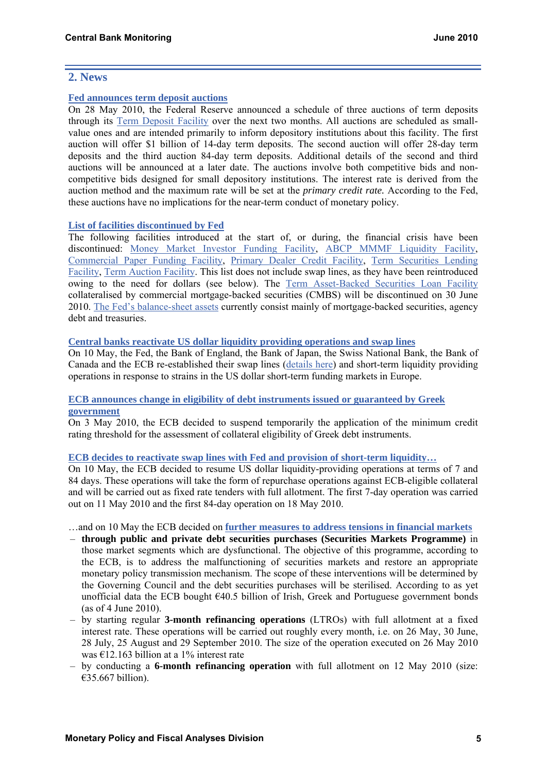## **2. News**

#### **[Fed announces term deposit auctions](http://www.federalreserve.gov/newsevents/press/monetary/20100528a.htm)**

On 28 May 2010, the Federal Reserve announced a schedule of three auctions of term deposits through its [Term Deposit Facility](http://www.frbservices.org/centralbank/term_deposit_facility.html) over the next two months. All auctions are scheduled as smallvalue ones and are intended primarily to inform depository institutions about this facility. The first auction will offer \$1 billion of 14-day term deposits. The second auction will offer 28-day term deposits and the third auction 84-day term deposits. Additional details of the second and third auctions will be announced at a later date. The auctions involve both competitive bids and noncompetitive bids designed for small depository institutions. The interest rate is derived from the auction method and the maximum rate will be set at the *primary credit rate.* According to the Fed, these auctions have no implications for the near-term conduct of monetary policy.

## **[List of facilities discontinued by Fed](http://www.federalreserve.gov/monetarypolicy/expiredtools.htm)**

The following facilities introduced at the start of, or during, the financial crisis have been discontinued: [Money Market Investor Funding Facility,](http://www.federalreserve.gov/monetarypolicy/mmiff.htm) [ABCP MMMF Liquidity Facility](http://www.federalreserve.gov/monetarypolicy/abcpmmmf.htm), [Commercial Paper Funding Facility,](http://www.federalreserve.gov/monetarypolicy/cpff.htm) [Primary Dealer Credit Facility,](http://www.federalreserve.gov/monetarypolicy/pdcf.htm) [Term Securities Lending](http://www.federalreserve.gov/monetarypolicy/tslf.htm)  [Facility](http://www.federalreserve.gov/monetarypolicy/tslf.htm), [Term Auction Facility](http://www.federalreserve.gov/monetarypolicy/taf.htm). This list does not include swap lines, as they have been reintroduced owing to the need for dollars (see below). The [Term Asset-Backed Securities Loan Facility](http://www.federalreserve.gov/monetarypolicy/talf.htm) collateralised by commercial mortgage-backed securities (CMBS) will be discontinued on 30 June 2010. [The Fed's balance-sheet assets](http://www.federalreserve.gov/monetarypolicy/bst_recenttrends.htm) currently consist mainly of mortgage-backed securities, agency debt and treasuries.

## **[Central banks reactivate US dollar liquidity providing operations and swap lines](http://www.ecb.int/press/pr/date/2010/html/pr100510_1.en.html)**

On 10 May, the Fed, the Bank of England, the Bank of Japan, the Swiss National Bank, the Bank of Canada and the ECB re-established their swap lines ([details here\)](http://www.newyorkfed.org/markets/fxswap/) and short-term liquidity providing operations in response to strains in the US dollar short-term funding markets in Europe.

## **[ECB announces change in eligibility of debt instruments issued or guaranteed by Greek](http://www.ecb.int/press/pr/date/2010/html/pr100503.en.html)  [government](http://www.ecb.int/press/pr/date/2010/html/pr100503.en.html)**

On 3 May 2010, the ECB decided to suspend temporarily the application of the minimum credit rating threshold for the assessment of collateral eligibility of Greek debt instruments.

## **[ECB decides to reactivate swap lines with Fed and provision of short-term liquidity…](http://www.ecb.int/press/pr/date/2010/html/pr100510_2.en.html)**

On 10 May, the ECB decided to resume US dollar liquidity-providing operations at terms of 7 and 84 days. These operations will take the form of repurchase operations against ECB-eligible collateral and will be carried out as fixed rate tenders with full allotment. The first 7-day operation was carried out on 11 May 2010 and the first 84-day operation on 18 May 2010.

…and on 10 May the ECB decided on **[further measures to address tensions in financial markets](http://www.ecb.int/press/pr/date/2010/html/pr100510.en.html)**

- **through public and private debt securities purchases (Securities Markets Programme)** in those market segments which are dysfunctional. The objective of this programme, according to the ECB, is to address the malfunctioning of securities markets and restore an appropriate monetary policy transmission mechanism. The scope of these interventions will be determined by the Governing Council and the debt securities purchases will be sterilised. According to as yet unofficial data the ECB bought €40.5 billion of Irish, Greek and Portuguese government bonds (as of 4 June 2010).
- by starting regular **3-month refinancing operations** (LTROs) with full allotment at a fixed interest rate. These operations will be carried out roughly every month, i.e. on 26 May, 30 June, 28 July, 25 August and 29 September 2010. The size of the operation executed on 26 May 2010 was  $\text{\textsterling}12.163$  billion at a 1% interest rate
- by conducting a **6-month refinancing operation** with full allotment on 12 May 2010 (size: €35.667 billion).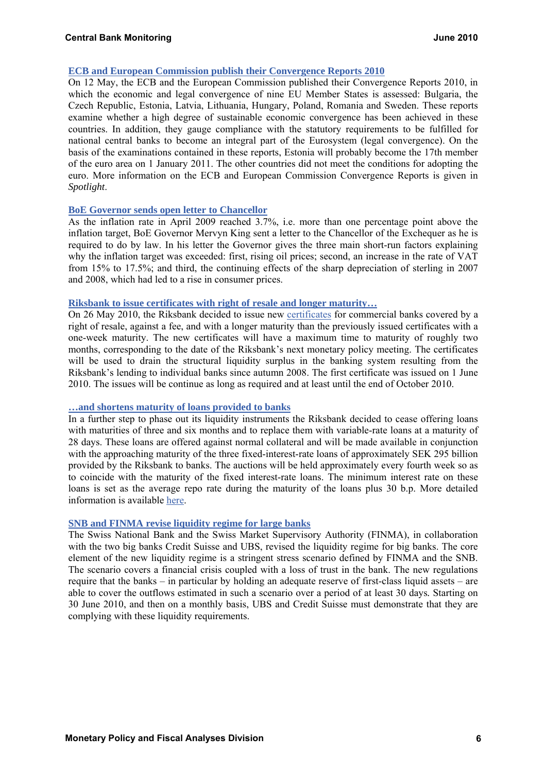#### **[ECB and European Commission publish their Convergence Reports 2010](http://www.ecb.int/press/pr/date/2010/html/pr100512.en.html)**

On 12 May, the ECB and the European Commission published their Convergence Reports 2010, in which the economic and legal convergence of nine EU Member States is assessed: Bulgaria, the Czech Republic, Estonia, Latvia, Lithuania, Hungary, Poland, Romania and Sweden. These reports examine whether a high degree of sustainable economic convergence has been achieved in these countries. In addition, they gauge compliance with the statutory requirements to be fulfilled for national central banks to become an integral part of the Eurosystem (legal convergence). On the basis of the examinations contained in these reports, Estonia will probably become the 17th member of the euro area on 1 January 2011. The other countries did not meet the conditions for adopting the euro. More information on the ECB and European Commission Convergence Reports is given in *Spotlight*.

#### **[BoE Governor sends open letter to Chancellor](http://www.bankofengland.co.uk/monetarypolicy/pdf/cpiletter100517.pdf)**

As the inflation rate in April 2009 reached 3.7%, i.e. more than one percentage point above the inflation target, BoE Governor Mervyn King sent a letter to the Chancellor of the Exchequer as he is required to do by law. In his letter the Governor gives the three main short-run factors explaining why the inflation target was exceeded: first, rising oil prices; second, an increase in the rate of VAT from 15% to 17.5%; and third, the continuing effects of the sharp depreciation of sterling in 2007 and 2008, which had led to a rise in consumer prices.

## **[Riksbank to issue certificates with right of resale and longer maturity…](http://www.riksbank.com/upload/Dokument_riksbank/Kat_publicerat/Pressmeddelanden/2010/nr23e.pdf)**

On 26 May 2010, the Riksbank decided to issue new [certificates](http://www.riksbank.se/upload/Dokument_riksbank/Villkor/2010/100526/loan_terms_100531.pdf) for commercial banks covered by a right of resale, against a fee, and with a longer maturity than the previously issued certificates with a one-week maturity. The new certificates will have a maximum time to maturity of roughly two months, corresponding to the date of the Riksbank's next monetary policy meeting. The certificates will be used to drain the structural liquidity surplus in the banking system resulting from the Riksbank's lending to individual banks since autumn 2008. The first certificate was issued on 1 June 2010. The issues will be continue as long as required and at least until the end of October 2010.

#### **[…and shortens maturity of loans provided to banks](http://www.riksbank.com/templates/Page.aspx?id=43891)**

In a further step to phase out its liquidity instruments the Riksbank decided to cease offering loans with maturities of three and six months and to replace them with variable-rate loans at a maturity of 28 days. These loans are offered against normal collateral and will be made available in conjunction with the approaching maturity of the three fixed-interest-rate loans of approximately SEK 295 billion provided by the Riksbank to banks. The auctions will be held approximately every fourth week so as to coincide with the maturity of the fixed interest-rate loans. The minimum interest rate on these loans is set as the average repo rate during the maturity of the loans plus 30 b.p. More detailed information is available [here.](http://www.riksbank.com/pagefolders/54937/nr20e_Beslutsunderlag_lan_eng.pdf)

#### **[SNB and FINMA revise liquidity regime for large banks](http://www.snb.ch/en/mmr/reference/pre_20100421/source/pre_20100421.en.pdf)**

The Swiss National Bank and the Swiss Market Supervisory Authority (FINMA), in collaboration with the two big banks Credit Suisse and UBS, revised the liquidity regime for big banks. The core element of the new liquidity regime is a stringent stress scenario defined by FINMA and the SNB. The scenario covers a financial crisis coupled with a loss of trust in the bank. The new regulations require that the banks – in particular by holding an adequate reserve of first-class liquid assets – are able to cover the outflows estimated in such a scenario over a period of at least 30 days*.* Starting on 30 June 2010, and then on a monthly basis, UBS and Credit Suisse must demonstrate that they are complying with these liquidity requirements.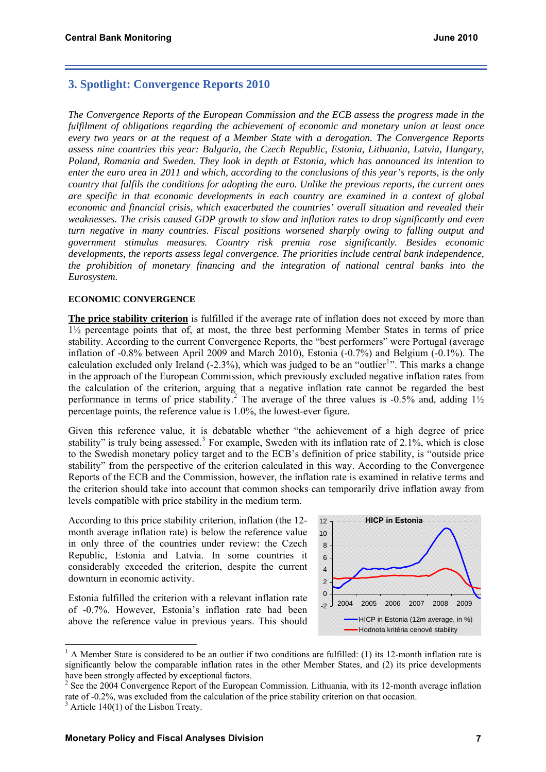## **3. Spotlight: Convergence Reports 2010**

*The Convergence Reports of the European Commission and the ECB assess the progress made in the fulfilment of obligations regarding the achievement of economic and monetary union at least once every two years or at the request of a Member State with a derogation. The Convergence Reports assess nine countries this year: Bulgaria, the Czech Republic, Estonia, Lithuania, Latvia, Hungary, Poland, Romania and Sweden. They look in depth at Estonia, which has announced its intention to enter the euro area in 2011 and which, according to the conclusions of this year's reports, is the only country that fulfils the conditions for adopting the euro. Unlike the previous reports, the current ones are specific in that economic developments in each country are examined in a context of global economic and financial crisis, which exacerbated the countries' overall situation and revealed their weaknesses. The crisis caused GDP growth to slow and inflation rates to drop significantly and even turn negative in many countries. Fiscal positions worsened sharply owing to falling output and government stimulus measures. Country risk premia rose significantly. Besides economic developments, the reports assess legal convergence. The priorities include central bank independence, the prohibition of monetary financing and the integration of national central banks into the Eurosystem.* 

#### **ECONOMIC CONVERGENCE**

**The price stability criterion** is fulfilled if the average rate of inflation does not exceed by more than 1½ percentage points that of, at most, the three best performing Member States in terms of price stability. According to the current Convergence Reports, the "best performers" were Portugal (average inflation of -0.8% between April 2009 and March 2010), Estonia (-0.7%) and Belgium (-0.1%). The calculation excluded only Ireland  $(-2.3\%)$ , which was judged to be an "outlier<sup>[1](#page-6-0)</sup>". This marks a change in the approach of the European Commission, which previously excluded negative inflation rates from the calculation of the criterion, arguing that a negative inflation rate cannot be regarded the best performance in terms of price stability.<sup>[2](#page-6-1)</sup> The average of the three values is -0.5% and, adding  $1\frac{1}{2}$ percentage points, the reference value is 1.0%, the lowest-ever figure.

Given this reference value, it is debatable whether "the achievement of a high degree of price stability" is truly being assessed.<sup>[3](#page-6-2)</sup> For example, Sweden with its inflation rate of  $2.1\%$ , which is close to the Swedish monetary policy target and to the ECB's definition of price stability, is "outside price stability" from the perspective of the criterion calculated in this way. According to the Convergence Reports of the ECB and the Commission, however, the inflation rate is examined in relative terms and the criterion should take into account that common shocks can temporarily drive inflation away from levels compatible with price stability in the medium term.

According to this price stability criterion, inflation (the 12 month average inflation rate) is below the reference value in only three of the countries under review: the Czech Republic, Estonia and Latvia. In some countries it considerably exceeded the criterion, despite the current downturn in economic activity.

Estonia fulfilled the criterion with a relevant inflation rate of -0.7%. However, Estonia's inflation rate had been above the reference value in previous years. This should



<span id="page-6-0"></span><sup>&</sup>lt;sup>1</sup> A Member State is considered to be an outlier if two conditions are fulfilled: (1) its 12-month inflation rate is significantly below the comparable inflation rates in the other Member States, and (2) its price developments have been strongly affected by exceptional factors.

<span id="page-6-2"></span><span id="page-6-1"></span><sup>&</sup>lt;sup>2</sup> See the 2004 Convergence Report of the European Commission. Lithuania, with its 12-month average inflation rate of -0.2%, was excluded from the calculation of the price stability criterion on that occasion.  $3$  Article 140(1) of the Lisbon Treaty.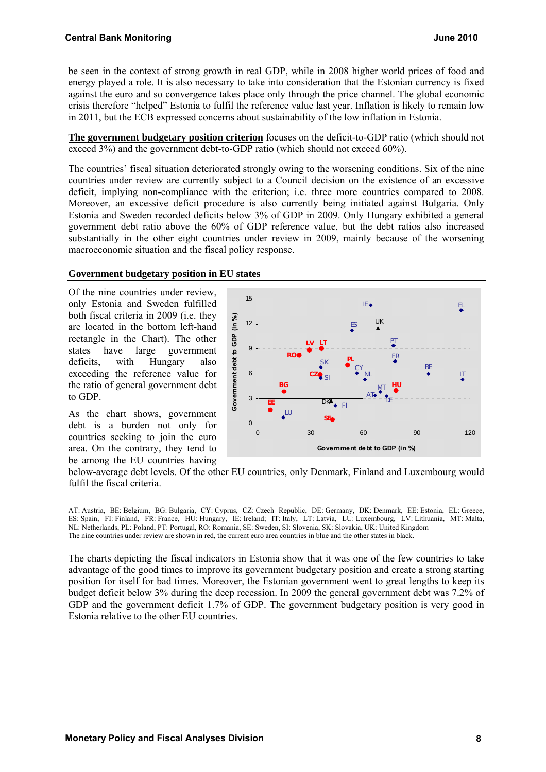be seen in the context of strong growth in real GDP, while in 2008 higher world prices of food and energy played a role. It is also necessary to take into consideration that the Estonian currency is fixed against the euro and so convergence takes place only through the price channel. The global economic crisis therefore "helped" Estonia to fulfil the reference value last year. Inflation is likely to remain low in 2011, but the ECB expressed concerns about sustainability of the low inflation in Estonia.

**The government budgetary position criterion** focuses on the deficit-to-GDP ratio (which should not exceed 3%) and the government debt-to-GDP ratio (which should not exceed 60%).

The countries' fiscal situation deteriorated strongly owing to the worsening conditions. Six of the nine countries under review are currently subject to a Council decision on the existence of an excessive deficit, implying non-compliance with the criterion; i.e. three more countries compared to 2008. Moreover, an excessive deficit procedure is also currently being initiated against Bulgaria. Only Estonia and Sweden recorded deficits below 3% of GDP in 2009. Only Hungary exhibited a general government debt ratio above the 60% of GDP reference value, but the debt ratios also increased substantially in the other eight countries under review in 2009, mainly because of the worsening macroeconomic situation and the fiscal policy response.

#### **Government budgetary position in EU states**

Of the nine countries under review, only Estonia and Sweden fulfilled both fiscal criteria in 2009 (i.e. they are located in the bottom left-hand rectangle in the Chart). The other states have large government deficits, with Hungary also exceeding the reference value for the ratio of general government debt to GDP.

As the chart shows, government debt is a burden not only for countries seeking to join the euro area. On the contrary, they tend to be among the EU countries having



fulfil the fiscal criteria. below-average debt levels. Of the other EU countries, only Denmark, Finland and Luxembourg would

AT: Austria, BE: Belgium, BG: Bulgaria, CY: Cyprus, CZ: Czech Republic, DE: Germany, DK: Denmark, EE: Estonia, EL: Greece, ES: Spain, FI: Finland, FR: France, HU: Hungary, IE: Ireland; IT: Italy, LT: Latvia, LU: Luxembourg, LV: Lithuania, MT: Malta, NL: Netherlands, PL: Poland, PT: Portugal, RO: Romania, SE: Sweden, SI: Slovenia, SK: Slovakia, UK: United Kingdom The nine countries under review are shown in red, the current euro area countries in blue and the other states in black.

The charts depicting the fiscal indicators in Estonia show that it was one of the few countries to take advantage of the good times to improve its government budgetary position and create a strong starting position for itself for bad times. Moreover, the Estonian government went to great lengths to keep its budget deficit below 3% during the deep recession. In 2009 the general government debt was 7.2% of GDP and the government deficit 1.7% of GDP. The government budgetary position is very good in Estonia relative to the other EU countries.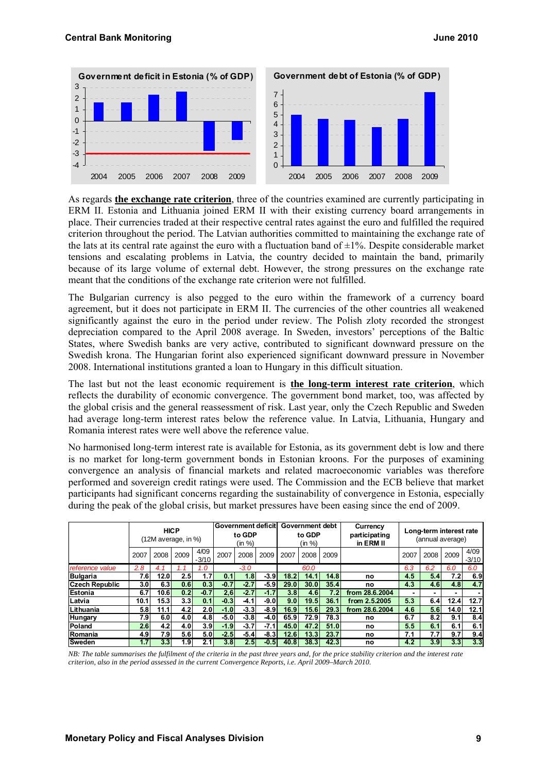

As regards **the exchange rate criterion**, three of the countries examined are currently participating in ERM II. Estonia and Lithuania joined ERM II with their existing currency board arrangements in place. Their currencies traded at their respective central rates against the euro and fulfilled the required criterion throughout the period. The Latvian authorities committed to maintaining the exchange rate of the lats at its central rate against the euro with a fluctuation band of  $\pm 1\%$ . Despite considerable market tensions and escalating problems in Latvia, the country decided to maintain the band, primarily because of its large volume of external debt. However, the strong pressures on the exchange rate meant that the conditions of the exchange rate criterion were not fulfilled.

The Bulgarian currency is also pegged to the euro within the framework of a currency board agreement, but it does not participate in ERM II. The currencies of the other countries all weakened significantly against the euro in the period under review. The Polish zloty recorded the strongest depreciation compared to the April 2008 average. In Sweden, investors' perceptions of the Baltic States, where Swedish banks are very active, contributed to significant downward pressure on the Swedish krona. The Hungarian forint also experienced significant downward pressure in November 2008. International institutions granted a loan to Hungary in this difficult situation.

The last but not the least economic requirement is **the long-term interest rate criterion**, which reflects the durability of economic convergence. The government bond market, too, was affected by the global crisis and the general reassessment of risk. Last year, only the Czech Republic and Sweden had average long-term interest rates below the reference value. In Latvia, Lithuania, Hungary and Romania interest rates were well above the reference value.

No harmonised long-term interest rate is available for Estonia, as its government debt is low and there is no market for long-term government bonds in Estonian kroons. For the purposes of examining convergence an analysis of financial markets and related macroeconomic variables was therefore performed and sovereign credit ratings were used. The Commission and the ECB believe that market participants had significant concerns regarding the sustainability of convergence in Estonia, especially during the peak of the global crisis, but market pressures have been easing since the end of 2009.

|                       | <b>HICP</b><br>(12M average, in %) |                   | Government deficit<br>to GDP<br>(in %) |                  | Government debt<br>to GDP<br>(in %) |        |                     | Currency<br>participating<br>in ERM II | Long-term interest rate<br>(annual average) |      |                |                |                          |      |                  |
|-----------------------|------------------------------------|-------------------|----------------------------------------|------------------|-------------------------------------|--------|---------------------|----------------------------------------|---------------------------------------------|------|----------------|----------------|--------------------------|------|------------------|
|                       | 2007                               | 2008              | 2009                                   | 4/09<br>$-3/10$  | 2007                                | 2008   | 2009                | 2007                                   | 2008                                        | 2009 |                | 2007           | 2008                     | 2009 | 4/09<br>$-3/10$  |
| reference value       | 2.8                                | 4.1               |                                        | 1.0              |                                     | $-3.0$ |                     |                                        | 60.0                                        |      |                | 6.3            | 6.2                      | 6.0  | 6.0              |
| <b>Bulgaria</b>       | 7.6                                | 12.0 <sub>l</sub> | 2.5                                    | 1.7              | 0.1                                 | 1.8    | $-3.9$              | 18.2                                   | 14.1                                        | 14.8 | no             | 4.5            | 5.4                      | 7.21 | 6.9              |
| <b>Czech Republic</b> | 3.0                                | 6.31              | 0.6 <sub>1</sub>                       | 0.3 <sub>l</sub> | $-0.7$                              | $-2.7$ | $-5.9$              | 29.0                                   | 30.0                                        | 35.4 | no             | 4.3            | 4.6                      | 4.8  | 4.7              |
| <b>Estonia</b>        | 6.7                                | 10.61             | 0.2 <sub>1</sub>                       | $-0.7$           | 2,6                                 | $-2.7$ | $-1.7$              | 3.8                                    | 4.6                                         | 7.2  | from 28.6.2004 | $\blacksquare$ | $\overline{\phantom{a}}$ |      |                  |
| Latvia                | 10.1                               | 15.3              | 3.3 <sub>l</sub>                       | 0.1              | $-0.3$                              | -4.1   | $-9.0$              | 9.0                                    | 19.5                                        | 36.1 | from 2.5.2005  | 5.3            | 6.4                      | 12.4 | 12.7             |
| Lithuania             | 5.8                                | 11.1              | 4.2 <sub>1</sub>                       | 2.0I             | $-1.0$                              | $-3.3$ | $-8.9$              | 16.9                                   | 15.6                                        | 29.3 | from 28.6.2004 | 4.6            | 5.6                      | 14.0 | 12.1             |
| Hungary               | 7.9                                | 6.0               | 4.0                                    | 4.8I             | $-5.0$                              | $-3.8$ | $-4.0$              | 65.9                                   | 72.9                                        | 78.3 | no             | 6.7            | 8.2                      | 9.1  | 8.4              |
| <b>Poland</b>         | 2.6                                | 4.2 <sub>l</sub>  | 4.0                                    | 3.9 <sub>l</sub> | $-1.9$                              | $-3.7$ | $-7.1$ <sup>*</sup> | 45.0                                   | 47.2                                        | 51.0 | no             | 5.5            | 6.1                      | 6.1  | 6.1              |
| Romania               | 4.9                                | 7.91              | 5.6                                    | 5.01             | $-2.5$                              | $-5.4$ | $-8.3$              | 12.6                                   | 13.3                                        | 23.7 | no             | 7.1            | 7.7                      | 9.7  | 9.4              |
| Sweden                | 1.7                                | 3.3 <sub>l</sub>  | 1.91                                   |                  | 3.8 <sub>1</sub>                    | 2.5    | $-0.5$              | 40.8                                   | 38.3                                        | 42.3 | no             | 4.2            | 3.9 <sub>1</sub>         | 3.3  | 3.3 <sub>l</sub> |

*NB: The table summarises the fulfilment of the criteria in the past three years and, for the price stability criterion and the interest rate criterion, also in the period assessed in the current Convergence Reports, i.e. April 2009–March 2010.*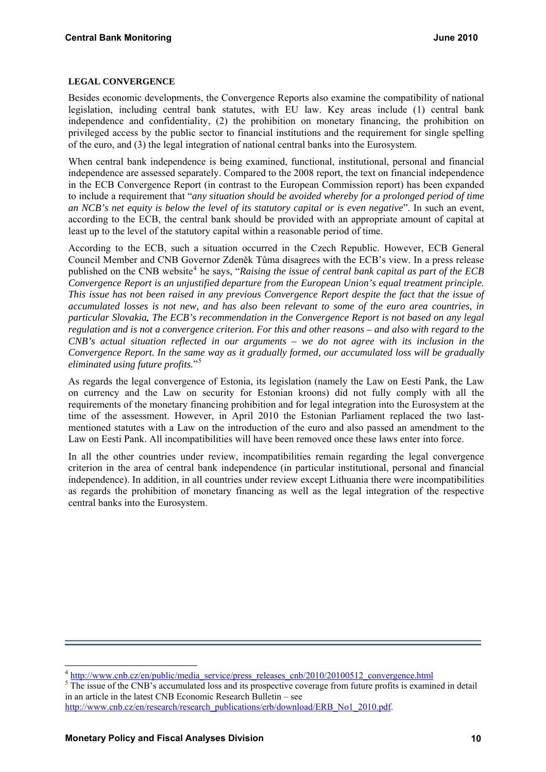#### **LEGAL CONVERGENCE**

Besides economic developments, the Convergence Reports also examine the compatibility of national legislation, including central bank statutes, with EU law. Key areas include (1) central bank independence and confidentiality, (2) the prohibition on monetary financing, the prohibition on privileged access by the public sector to financial institutions and the requirement for single spelling of the euro, and (3) the legal integration of national central banks into the Eurosystem.

When central bank independence is being examined, functional, institutional, personal and financial independence are assessed separately. Compared to the 2008 report, the text on financial independence in the ECB Convergence Report (in contrast to the European Commission report) has been expanded to include a requirement that "*any situation should be avoided whereby for a prolonged period of time an NCB's net equity is below the level of its statutory capital or is even negative*". In such an event, according to the ECB, the central bank should be provided with an appropriate amount of capital at least up to the level of the statutory capital within a reasonable period of time.

According to the ECB, such a situation occurred in the Czech Republic. However, ECB General Council Member and CNB Governor Zdeněk Tůma disagrees with the ECB's view. In a press release published on the CNB website<sup>[4](#page-9-0)</sup> he says, "*Raising the issue of central bank capital as part of the ECB Convergence Report is an unjustified departure from the European Union's equal treatment principle. This issue has not been raised in any previous Convergence Report despite the fact that the issue of accumulated losses is not new, and has also been relevant to some of the euro area countries, in particular Slovakia. The ECB's recommendation in the Convergence Report is not based on any legal regulation and is not a convergence criterion. For this and other reasons – and also with regard to the CNB's actual situation reflected in our arguments – we do not agree with its inclusion in the Convergence Report. In the same way as it gradually formed, our accumulated loss will be gradually eliminated using future profits.*"[5](#page-9-1)

As regards the legal convergence of Estonia, its legislation (namely the Law on Eesti Pank, the Law on currency and the Law on security for Estonian kroons) did not fully comply with all the requirements of the monetary financing prohibition and for legal integration into the Eurosystem at the time of the assessment. However, in April 2010 the Estonian Parliament replaced the two lastmentioned statutes with a Law on the introduction of the euro and also passed an amendment to the Law on Eesti Pank. All incompatibilities will have been removed once these laws enter into force.

In all the other countries under review, incompatibilities remain regarding the legal convergence criterion in the area of central bank independence (in particular institutional, personal and financial independence). In addition, in all countries under review except Lithuania there were incompatibilities as regards the prohibition of monetary financing as well as the legal integration of the respective central banks into the Eurosystem.

 $\overline{\phantom{a}}$ 

<span id="page-9-0"></span><sup>&</sup>lt;sup>4</sup> [http://www.cnb.cz/en/public/media\\_service/press\\_releases\\_cnb/2010/20100512\\_convergence.html](http://www.cnb.cz/en/public/media_service/press_releases_cnb/2010/20100512_convergence.html)

<span id="page-9-1"></span><sup>&</sup>lt;sup>5</sup>The issue of the CNB's accumulated loss and its prospective coverage from future profits is examined in detail in an article in the latest CNB Economic Research Bulletin – see

[http://www.cnb.cz/en/research/research\\_publications/erb/download/ERB\\_No1\\_2010.pdf](http://www.cnb.cz/en/research/research_publications/erb/download/ERB_No1_2010.pdf).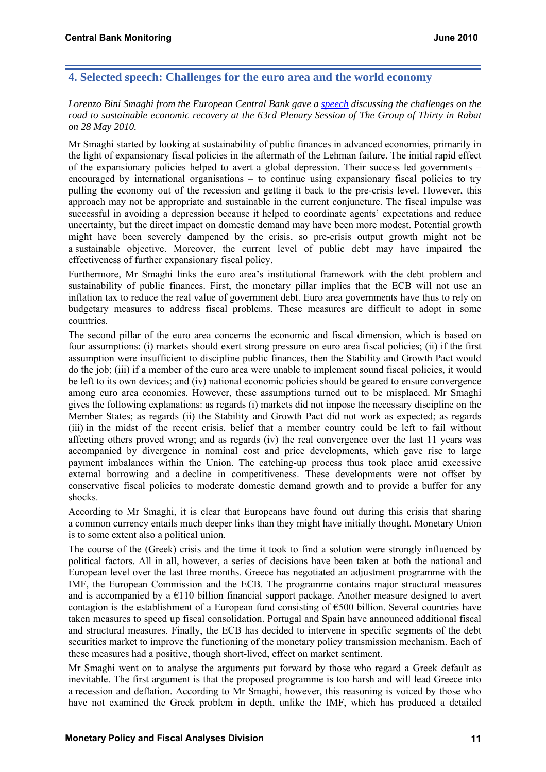## **4. Selected speech: Challenges for the euro area and the world economy**

#### *Lorenzo Bini Smaghi from the European Central Bank gave a [speech](http://www.ecb.int/press/key/date/2010/html/sp100528.en.html) discussing the challenges on the road to sustainable economic recovery at the 63rd Plenary Session of The Group of Thirty in Rabat on 28 May 2010.*

Mr Smaghi started by looking at sustainability of public finances in advanced economies, primarily in the light of expansionary fiscal policies in the aftermath of the Lehman failure. The initial rapid effect of the expansionary policies helped to avert a global depression. Their success led governments – encouraged by international organisations – to continue using expansionary fiscal policies to try pulling the economy out of the recession and getting it back to the pre-crisis level. However, this approach may not be appropriate and sustainable in the current conjuncture. The fiscal impulse was successful in avoiding a depression because it helped to coordinate agents' expectations and reduce uncertainty, but the direct impact on domestic demand may have been more modest. Potential growth might have been severely dampened by the crisis, so pre-crisis output growth might not be a sustainable objective. Moreover, the current level of public debt may have impaired the effectiveness of further expansionary fiscal policy.

Furthermore, Mr Smaghi links the euro area's institutional framework with the debt problem and sustainability of public finances. First, the monetary pillar implies that the ECB will not use an inflation tax to reduce the real value of government debt. Euro area governments have thus to rely on budgetary measures to address fiscal problems. These measures are difficult to adopt in some countries.

The second pillar of the euro area concerns the economic and fiscal dimension, which is based on four assumptions: (i) markets should exert strong pressure on euro area fiscal policies; (ii) if the first assumption were insufficient to discipline public finances, then the Stability and Growth Pact would do the job; (iii) if a member of the euro area were unable to implement sound fiscal policies, it would be left to its own devices; and (iv) national economic policies should be geared to ensure convergence among euro area economies. However, these assumptions turned out to be misplaced. Mr Smaghi gives the following explanations: as regards (i) markets did not impose the necessary discipline on the Member States; as regards (ii) the Stability and Growth Pact did not work as expected; as regards (iii) in the midst of the recent crisis, belief that a member country could be left to fail without affecting others proved wrong; and as regards (iv) the real convergence over the last 11 years was accompanied by divergence in nominal cost and price developments, which gave rise to large payment imbalances within the Union. The catching-up process thus took place amid excessive external borrowing and a decline in competitiveness. These developments were not offset by conservative fiscal policies to moderate domestic demand growth and to provide a buffer for any shocks.

According to Mr Smaghi, it is clear that Europeans have found out during this crisis that sharing a common currency entails much deeper links than they might have initially thought. Monetary Union is to some extent also a political union.

The course of the (Greek) crisis and the time it took to find a solution were strongly influenced by political factors. All in all, however, a series of decisions have been taken at both the national and European level over the last three months. Greece has negotiated an adjustment programme with the IMF, the European Commission and the ECB. The programme contains major structural measures and is accompanied by a  $E110$  billion financial support package. Another measure designed to avert contagion is the establishment of a European fund consisting of  $\epsilon$ 500 billion. Several countries have taken measures to speed up fiscal consolidation. Portugal and Spain have announced additional fiscal and structural measures. Finally, the ECB has decided to intervene in specific segments of the debt securities market to improve the functioning of the monetary policy transmission mechanism. Each of these measures had a positive, though short-lived, effect on market sentiment.

Mr Smaghi went on to analyse the arguments put forward by those who regard a Greek default as inevitable. The first argument is that the proposed programme is too harsh and will lead Greece into a recession and deflation. According to Mr Smaghi, however, this reasoning is voiced by those who have not examined the Greek problem in depth, unlike the IMF, which has produced a detailed